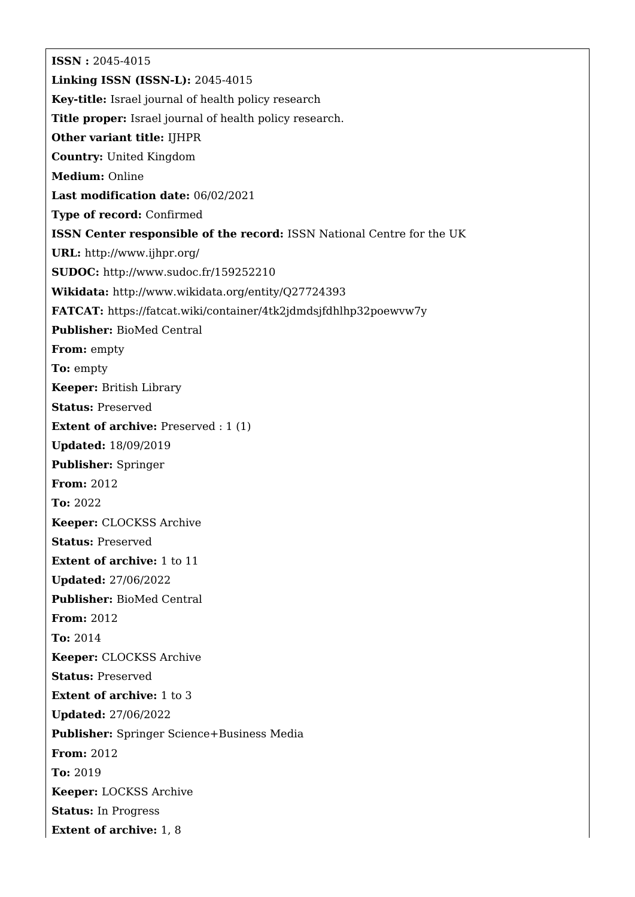**ISSN :** 2045-4015 **Linking ISSN (ISSN-L):** 2045-4015 **Key-title:** Israel journal of health policy research **Title proper:** Israel journal of health policy research. **Other variant title:** IJHPR **Country:** United Kingdom **Medium:** Online **Last modification date:** 06/02/2021 **Type of record:** Confirmed **ISSN Center responsible of the record:** ISSN National Centre for the UK **URL:** <http://www.ijhpr.org/> **SUDOC:** <http://www.sudoc.fr/159252210> **Wikidata:** <http://www.wikidata.org/entity/Q27724393> **FATCAT:** <https://fatcat.wiki/container/4tk2jdmdsjfdhlhp32poewvw7y> **Publisher:** BioMed Central **From:** empty **To:** empty **Keeper:** British Library **Status:** Preserved **Extent of archive:** Preserved : 1 (1) **Updated:** 18/09/2019 **Publisher:** Springer **From:** 2012 **To:** 2022 **Keeper:** CLOCKSS Archive **Status:** Preserved **Extent of archive:** 1 to 11 **Updated:** 27/06/2022 **Publisher:** BioMed Central **From:** 2012 **To:** 2014 **Keeper:** CLOCKSS Archive **Status:** Preserved **Extent of archive:** 1 to 3 **Updated:** 27/06/2022 **Publisher:** Springer Science+Business Media **From:** 2012 **To:** 2019 **Keeper:** LOCKSS Archive **Status:** In Progress **Extent of archive:** 1, 8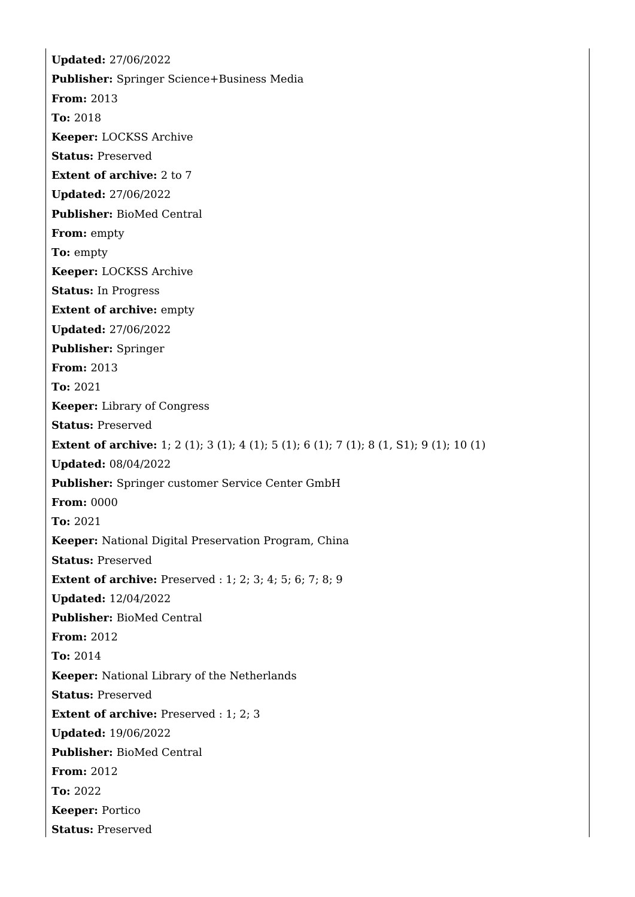**Updated:** 27/06/2022 **Publisher:** Springer Science+Business Media **From:** 2013 **To:** 2018 **Keeper:** LOCKSS Archive **Status:** Preserved **Extent of archive:** 2 to 7 **Updated:** 27/06/2022 **Publisher:** BioMed Central **From:** empty **To:** empty **Keeper:** LOCKSS Archive **Status:** In Progress **Extent of archive:** empty **Updated:** 27/06/2022 **Publisher:** Springer **From:** 2013 **To:** 2021 **Keeper:** Library of Congress **Status:** Preserved **Extent of archive:** 1; 2 (1); 3 (1); 4 (1); 5 (1); 6 (1); 7 (1); 8 (1, S1); 9 (1); 10 (1) **Updated:** 08/04/2022 **Publisher:** Springer customer Service Center GmbH **From:** 0000 **To:** 2021 **Keeper:** National Digital Preservation Program, China **Status:** Preserved **Extent of archive:** Preserved : 1; 2; 3; 4; 5; 6; 7; 8; 9 **Updated:** 12/04/2022 **Publisher:** BioMed Central **From:** 2012 **To:** 2014 **Keeper:** National Library of the Netherlands **Status:** Preserved **Extent of archive:** Preserved : 1; 2; 3 **Updated:** 19/06/2022 **Publisher:** BioMed Central **From:** 2012 **To:** 2022 **Keeper:** Portico **Status:** Preserved